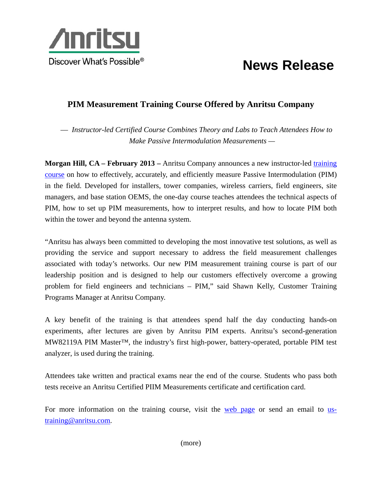

## **News Release**

## **PIM Measurement Training Course Offered by Anritsu Company**

— *Instructor-led Certified Course Combines Theory and Labs to Teach Attendees How to Make Passive Intermodulation Measurements —* 

**Morgan Hill, CA – February 2013 –** Anritsu Company announces a new instructor-led training course on how to effectively, accurately, and efficiently measure Passive Intermodulation (PIM) in the field. Developed for installers, tower companies, wireless carriers, field engineers, site managers, and base station OEMS, the one-day course teaches attendees the technical aspects of PIM, how to set up PIM measurements, how to interpret results, and how to locate PIM both within the tower and beyond the antenna system.

"Anritsu has always been committed to developing the most innovative test solutions, as well as providing the service and support necessary to address the field measurement challenges associated with today's networks. Our new PIM measurement training course is part of our leadership position and is designed to help our customers effectively overcome a growing problem for field engineers and technicians – PIM," said Shawn Kelly, Customer Training Programs Manager at Anritsu Company.

A key benefit of the training is that attendees spend half the day conducting hands-on experiments, after lectures are given by Anritsu PIM experts. Anritsu's second-generation MW82119A PIM Master™, the industry's first high-power, battery-operated, portable PIM test analyzer, is used during the training.

Attendees take written and practical exams near the end of the course. Students who pass both tests receive an Anritsu Certified PIIM Measurements certificate and certification card.

For more information on the training course, visit the web page or send an email to ustraining@anritsu.com.

(more)